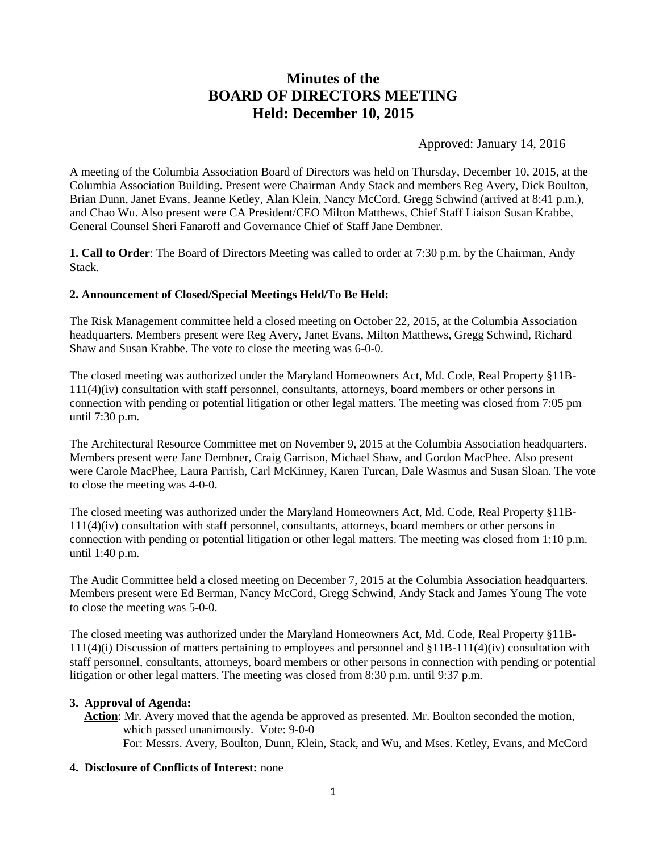# **Minutes of the BOARD OF DIRECTORS MEETING Held: December 10, 2015**

Approved: January 14, 2016

A meeting of the Columbia Association Board of Directors was held on Thursday, December 10, 2015, at the Columbia Association Building. Present were Chairman Andy Stack and members Reg Avery, Dick Boulton, Brian Dunn, Janet Evans, Jeanne Ketley, Alan Klein, Nancy McCord, Gregg Schwind (arrived at 8:41 p.m.), and Chao Wu. Also present were CA President/CEO Milton Matthews, Chief Staff Liaison Susan Krabbe, General Counsel Sheri Fanaroff and Governance Chief of Staff Jane Dembner.

**1. Call to Order**: The Board of Directors Meeting was called to order at 7:30 p.m. by the Chairman, Andy Stack.

#### **2. Announcement of Closed/Special Meetings Held/To Be Held:**

The Risk Management committee held a closed meeting on October 22, 2015, at the Columbia Association headquarters. Members present were Reg Avery, Janet Evans, Milton Matthews, Gregg Schwind, Richard Shaw and Susan Krabbe. The vote to close the meeting was 6-0-0.

The closed meeting was authorized under the Maryland Homeowners Act, Md. Code, Real Property §11B-111(4)(iv) consultation with staff personnel, consultants, attorneys, board members or other persons in connection with pending or potential litigation or other legal matters. The meeting was closed from 7:05 pm until 7:30 p.m.

The Architectural Resource Committee met on November 9, 2015 at the Columbia Association headquarters. Members present were Jane Dembner, Craig Garrison, Michael Shaw, and Gordon MacPhee. Also present were Carole MacPhee, Laura Parrish, Carl McKinney, Karen Turcan, Dale Wasmus and Susan Sloan. The vote to close the meeting was 4-0-0.

The closed meeting was authorized under the Maryland Homeowners Act, Md. Code, Real Property §11B-111(4)(iv) consultation with staff personnel, consultants, attorneys, board members or other persons in connection with pending or potential litigation or other legal matters. The meeting was closed from 1:10 p.m. until 1:40 p.m.

The Audit Committee held a closed meeting on December 7, 2015 at the Columbia Association headquarters. Members present were Ed Berman, Nancy McCord, Gregg Schwind, Andy Stack and James Young The vote to close the meeting was 5-0-0.

The closed meeting was authorized under the Maryland Homeowners Act, Md. Code, Real Property §11B-111(4)(i) Discussion of matters pertaining to employees and personnel and §11B-111(4)(iv) consultation with staff personnel, consultants, attorneys, board members or other persons in connection with pending or potential litigation or other legal matters. The meeting was closed from 8:30 p.m. until 9:37 p.m.

## **3. Approval of Agenda:**

**Action**: Mr. Avery moved that the agenda be approved as presented. Mr. Boulton seconded the motion, which passed unanimously. Vote: 9-0-0 For: Messrs. Avery, Boulton, Dunn, Klein, Stack, and Wu, and Mses. Ketley, Evans, and McCord

#### **4. Disclosure of Conflicts of Interest:** none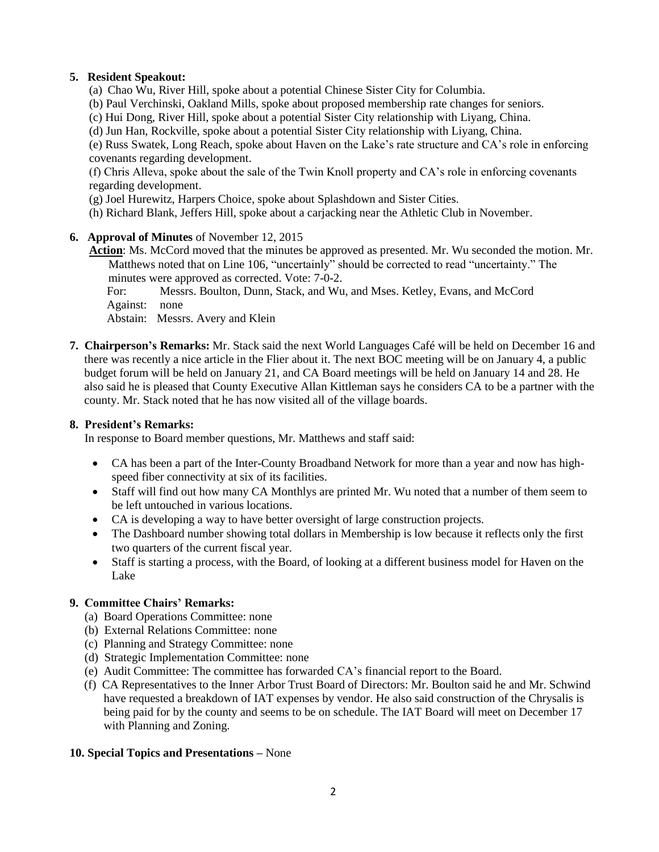# **5. Resident Speakout:**

- (a) Chao Wu, River Hill, spoke about a potential Chinese Sister City for Columbia.
- (b) Paul Verchinski, Oakland Mills, spoke about proposed membership rate changes for seniors.
- (c) Hui Dong, River Hill, spoke about a potential Sister City relationship with Liyang, China.
- (d) Jun Han, Rockville, spoke about a potential Sister City relationship with Liyang, China.

(e) Russ Swatek, Long Reach, spoke about Haven on the Lake's rate structure and CA's role in enforcing covenants regarding development.

(f) Chris Alleva, spoke about the sale of the Twin Knoll property and CA's role in enforcing covenants regarding development.

- (g) Joel Hurewitz, Harpers Choice, spoke about Splashdown and Sister Cities.
- (h) Richard Blank, Jeffers Hill, spoke about a carjacking near the Athletic Club in November.
- **6. Approval of Minutes** of November 12, 2015
	- **Action**: Ms. McCord moved that the minutes be approved as presented. Mr. Wu seconded the motion. Mr. Matthews noted that on Line 106, "uncertainly" should be corrected to read "uncertainty." The minutes were approved as corrected. Vote: 7-0-2.
		- For: Messrs. Boulton, Dunn, Stack, and Wu, and Mses. Ketley, Evans, and McCord Against: none
		- Abstain: Messrs. Avery and Klein
- **7. Chairperson's Remarks:** Mr. Stack said the next World Languages Café will be held on December 16 and there was recently a nice article in the Flier about it. The next BOC meeting will be on January 4, a public budget forum will be held on January 21, and CA Board meetings will be held on January 14 and 28. He also said he is pleased that County Executive Allan Kittleman says he considers CA to be a partner with the county. Mr. Stack noted that he has now visited all of the village boards.

## **8. President's Remarks:**

In response to Board member questions, Mr. Matthews and staff said:

- CA has been a part of the Inter-County Broadband Network for more than a year and now has highspeed fiber connectivity at six of its facilities.
- Staff will find out how many CA Monthlys are printed Mr. Wu noted that a number of them seem to be left untouched in various locations.
- CA is developing a way to have better oversight of large construction projects.
- The Dashboard number showing total dollars in Membership is low because it reflects only the first two quarters of the current fiscal year.
- Staff is starting a process, with the Board, of looking at a different business model for Haven on the Lake

## **9. Committee Chairs' Remarks:**

- (a) Board Operations Committee: none
- (b) External Relations Committee: none
- (c) Planning and Strategy Committee: none
- (d) Strategic Implementation Committee: none
- (e) Audit Committee: The committee has forwarded CA's financial report to the Board.
- (f) CA Representatives to the Inner Arbor Trust Board of Directors: Mr. Boulton said he and Mr. Schwind have requested a breakdown of IAT expenses by vendor. He also said construction of the Chrysalis is being paid for by the county and seems to be on schedule. The IAT Board will meet on December 17 with Planning and Zoning.

## **10. Special Topics and Presentations –** None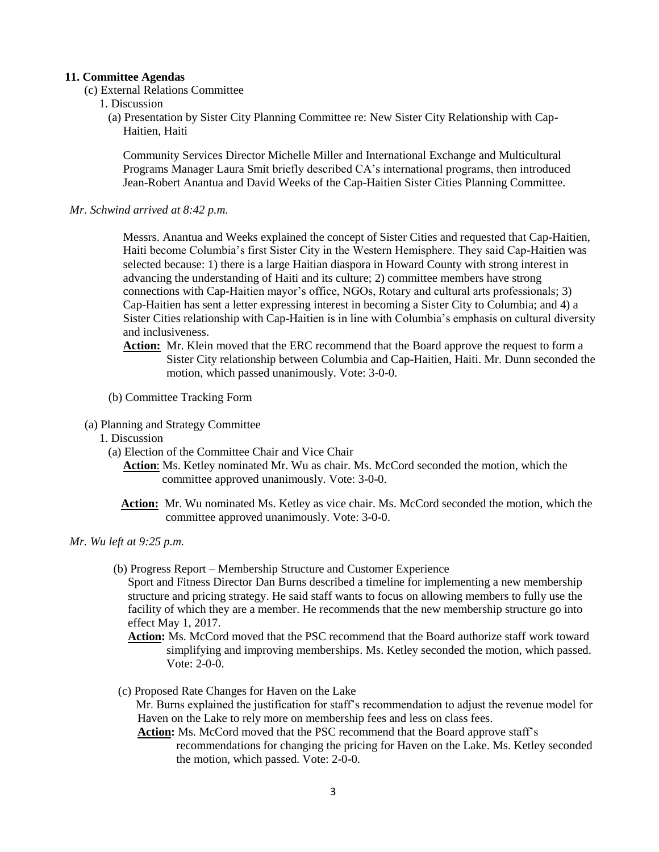#### **11. Committee Agendas**

- (c) External Relations Committee
	- 1. Discussion
		- (a) Presentation by Sister City Planning Committee re: New Sister City Relationship with Cap- . Haitien, Haiti

Community Services Director Michelle Miller and International Exchange and Multicultural Programs Manager Laura Smit briefly described CA's international programs, then introduced Jean-Robert Anantua and David Weeks of the Cap-Haitien Sister Cities Planning Committee.

*Mr. Schwind arrived at 8:42 p.m.*

Messrs. Anantua and Weeks explained the concept of Sister Cities and requested that Cap-Haitien, Haiti become Columbia's first Sister City in the Western Hemisphere. They said Cap-Haitien was selected because: 1) there is a large Haitian diaspora in Howard County with strong interest in advancing the understanding of Haiti and its culture; 2) committee members have strong connections with Cap-Haitien mayor's office, NGOs, Rotary and cultural arts professionals; 3) Cap-Haitien has sent a letter expressing interest in becoming a Sister City to Columbia; and 4) a Sister Cities relationship with Cap-Haitien is in line with Columbia's emphasis on cultural diversity and inclusiveness.

- **Action:** Mr. Klein moved that the ERC recommend that the Board approve the request to form a Sister City relationship between Columbia and Cap-Haitien, Haiti. Mr. Dunn seconded the motion, which passed unanimously. Vote: 3-0-0.
- (b) Committee Tracking Form
- (a) Planning and Strategy Committee
	- 1. Discussion
		- (a) Election of the Committee Chair and Vice Chair
			- **Action**: Ms. Ketley nominated Mr. Wu as chair. Ms. McCord seconded the motion, which the . committee approved unanimously. Vote: 3-0-0.
			- **Action:** Mr. Wu nominated Ms. Ketley as vice chair. Ms. McCord seconded the motion, which the . committee approved unanimously. Vote: 3-0-0.
- *Mr. Wu left at 9:25 p.m.*
	- (b) Progress Report Membership Structure and Customer Experience

Sport and Fitness Director Dan Burns described a timeline for implementing a new membership structure and pricing strategy. He said staff wants to focus on allowing members to fully use the facility of which they are a member. He recommends that the new membership structure go into effect May 1, 2017.

**Action:** Ms. McCord moved that the PSC recommend that the Board authorize staff work toward simplifying and improving memberships. Ms. Ketley seconded the motion, which passed. Vote: 2-0-0.

(c) Proposed Rate Changes for Haven on the Lake

 Mr. Burns explained the justification for staff's recommendation to adjust the revenue model for Haven on the Lake to rely more on membership fees and less on class fees.

**Action:** Ms. McCord moved that the PSC recommend that the Board approve staff's recommendations for changing the pricing for Haven on the Lake. Ms. Ketley seconded the motion, which passed. Vote: 2-0-0.